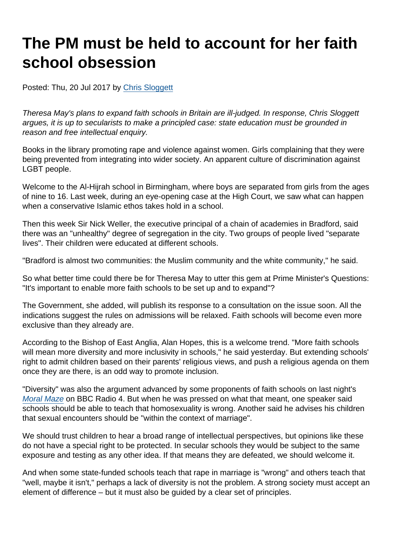## The PM must be held to account for her faith school obsession

Posted: Thu, 20 Jul 2017 by [Chris Sloggett](https://www.secularism.org.uk/opinion/authors/968)

Theresa May's plans to expand faith schools in Britain are ill-judged. In response, Chris Sloggett argues, it is up to secularists to make a principled case: state education must be grounded in reason and free intellectual enquiry.

Books in the library promoting rape and violence against women. Girls complaining that they were being prevented from integrating into wider society. An apparent culture of discrimination against LGBT people.

Welcome to the Al-Hijrah school in Birmingham, where boys are separated from girls from the ages of nine to 16. Last week, during an eye-opening case at the High Court, we saw what can happen when a conservative Islamic ethos takes hold in a school.

Then this week Sir Nick Weller, the executive principal of a chain of academies in Bradford, said there was an "unhealthy" degree of segregation in the city. Two groups of people lived "separate lives". Their children were educated at different schools.

"Bradford is almost two communities: the Muslim community and the white community," he said.

So what better time could there be for Theresa May to utter this gem at Prime Minister's Questions: "It's important to enable more faith schools to be set up and to expand"?

The Government, she added, will publish its response to a consultation on the issue soon. All the indications suggest the rules on admissions will be relaxed. Faith schools will become even more exclusive than they already are.

According to the Bishop of East Anglia, Alan Hopes, this is a welcome trend. "More faith schools will mean more diversity and more inclusivity in schools," he said yesterday. But extending schools' right to admit children based on their parents' religious views, and push a religious agenda on them once they are there, is an odd way to promote inclusion.

"Diversity" was also the argument advanced by some proponents of faith schools on last night's [Moral Maze](http://www.bbc.co.uk/programmes/b08y1bzf) on BBC Radio 4. But when he was pressed on what that meant, one speaker said schools should be able to teach that homosexuality is wrong. Another said he advises his children that sexual encounters should be "within the context of marriage".

We should trust children to hear a broad range of intellectual perspectives, but opinions like these do not have a special right to be protected. In secular schools they would be subject to the same exposure and testing as any other idea. If that means they are defeated, we should welcome it.

And when some state-funded schools teach that rape in marriage is "wrong" and others teach that "well, maybe it isn't," perhaps a lack of diversity is not the problem. A strong society must accept an element of difference – but it must also be guided by a clear set of principles.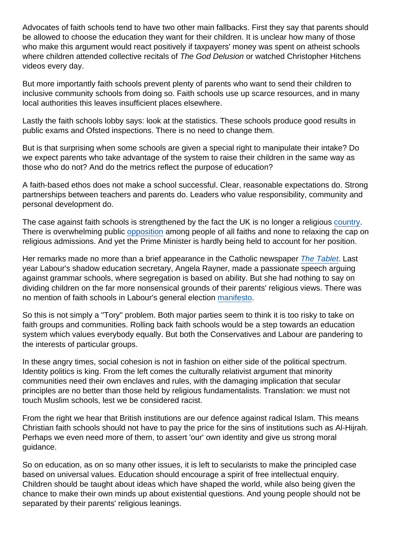Advocates of faith schools tend to have two other main fallbacks. First they say that parents should be allowed to choose the education they want for their children. It is unclear how many of those who make this argument would react positively if taxpayers' money was spent on atheist schools where children attended collective recitals of The God Delusion or watched Christopher Hitchens videos every day.

But more importantly faith schools prevent plenty of parents who want to send their children to inclusive community schools from doing so. Faith schools use up scarce resources, and in many local authorities this leaves insufficient places elsewhere.

Lastly the faith schools lobby says: look at the statistics. These schools produce good results in public exams and Ofsted inspections. There is no need to change them.

But is that surprising when some schools are given a special right to manipulate their intake? Do we expect parents who take advantage of the system to raise their children in the same way as those who do not? And do the metrics reflect the purpose of education?

A faith-based ethos does not make a school successful. Clear, reasonable expectations do. Strong partnerships between teachers and parents do. Leaders who value responsibility, community and personal development do.

The case against faith schools is strengthened by the fact the UK is no longer a religious [country.](https://www.secularism.org.uk/news/2017/07/more-brits-than-ever-are-non-religious-says-report) There is overwhelming public [opposition](http://accordcoalition.org.uk/2017/05/29/overwhelming-majority-of-the-public-want-to-maintain-the-50-religious-selection-cap-for-new-faith-schools/) among people of all faiths and none to relaxing the cap on religious admissions. And yet the Prime Minister is hardly being held to account for her position.

Her remarks made no more than a brief appearance in the Catholic newspaper [The Tablet.](http://www.thetablet.co.uk/news/7504/0/theresa-may-repeats-support-for-faith-schools-saying-further-details-on-admission-policy-will-be-published-soon-) Last year Labour's shadow education secretary, Angela Rayner, made a passionate speech arguing against grammar schools, where segregation is based on ability. But she had nothing to say on dividing children on the far more nonsensical grounds of their parents' religious views. There was no mention of faith schools in Labour's general election [manifesto.](http://www.labour.org.uk/page/-/Images/manifesto-2017/labour-manifesto-2017.pdf)

So this is not simply a "Tory" problem. Both major parties seem to think it is too risky to take on faith groups and communities. Rolling back faith schools would be a step towards an education system which values everybody equally. But both the Conservatives and Labour are pandering to the interests of particular groups.

In these angry times, social cohesion is not in fashion on either side of the political spectrum. Identity politics is king. From the left comes the culturally relativist argument that minority communities need their own enclaves and rules, with the damaging implication that secular principles are no better than those held by religious fundamentalists. Translation: we must not touch Muslim schools, lest we be considered racist.

From the right we hear that British institutions are our defence against radical Islam. This means Christian faith schools should not have to pay the price for the sins of institutions such as Al-Hijrah. Perhaps we even need more of them, to assert 'our' own identity and give us strong moral guidance.

So on education, as on so many other issues, it is left to secularists to make the principled case based on universal values. Education should encourage a spirit of free intellectual enquiry. Children should be taught about ideas which have shaped the world, while also being given the chance to make their own minds up about existential questions. And young people should not be separated by their parents' religious leanings.